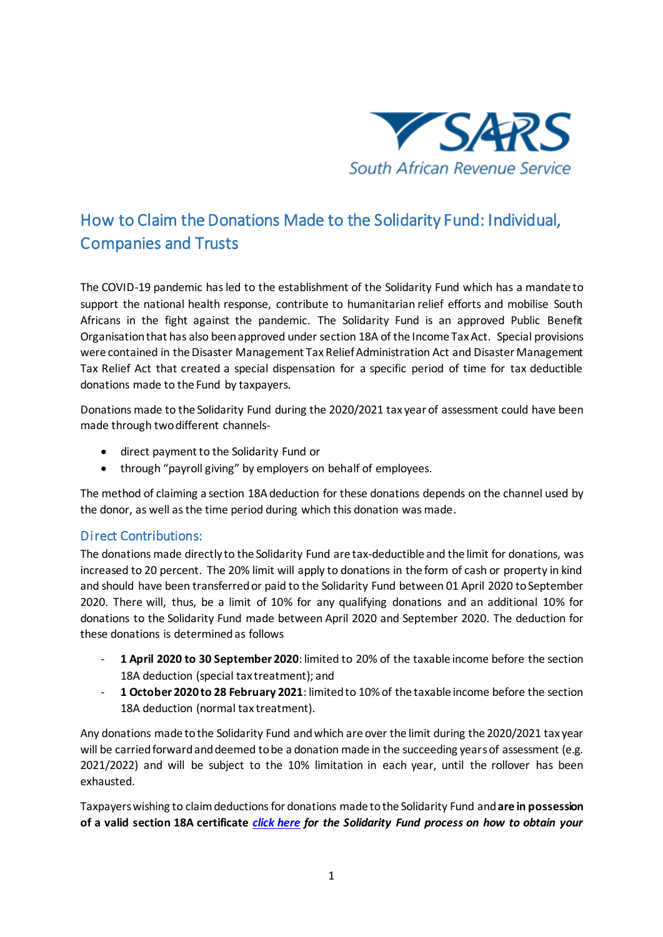

## How to Claim the Donations Made to the Solidarity Fund: Individual, Companies and Trusts

The COVID-19 pandemic has led to the establishment of the Solidarity Fund which has a mandate to support the national health response, contribute to humanitarian relief efforts and mobilise South Africans in the fight against the pandemic. The Solidarity Fund is an approved Public Benefit Organisation that has also been approved under section 18A of the Income Tax Act. Special provisions were contained in the Disaster Management Tax Relief Administration Act and Disaster Management Tax Relief Act that created a special dispensation for a specific period of time for tax deductible donations made to the Fund by taxpayers.

Donations made to the Solidarity Fund during the 2020/2021 tax year of assessment could have been made through two different channels-

- direct payment to the Solidarity Fund or
- through "payroll giving" by employers on behalf of employees.

The method of claiming a section 18A deduction for these donations depends on the channel used by the donor, as well as the time period during which this donation was made.

## Direct Contributions:

The donations made directly to the Solidarity Fund are tax-deductible and the limit for donations, was increased to 20 percent. The 20% limit will apply to donations in the form of cash or property in kind and should have been transferred or paid to the Solidarity Fund between 01 April 2020 to September 2020. There will, thus, be a limit of 10% for any qualifying donations and an additional 10% for donations to the Solidarity Fund made between April 2020 and September 2020. The deduction for these donations is determined as follows

- **1 April 2020 to 30 September 2020**: limited to 20% of the taxable income before the section 18A deduction (special tax treatment); and
- **1 October 2020 to 28 February 2021**: limited to 10% of the taxable income before the section 18A deduction (normal tax treatment).

Any donations made to the Solidarity Fund and which are over the limit during the 2020/2021 tax year will be carried forward and deemed to be a donation made in the succeeding years of assessment (e.g. 2021/2022) and will be subject to the 10% limitation in each year, until the rollover has been exhausted.

Taxpayerswishing to claim deductions for donations made to the Solidarity Fund and **are in possession of a valid section 18A certificate** *[click here](https://solidarityfund.co.za/section-18a/) for the Solidarity Fund process on how to obtain your*